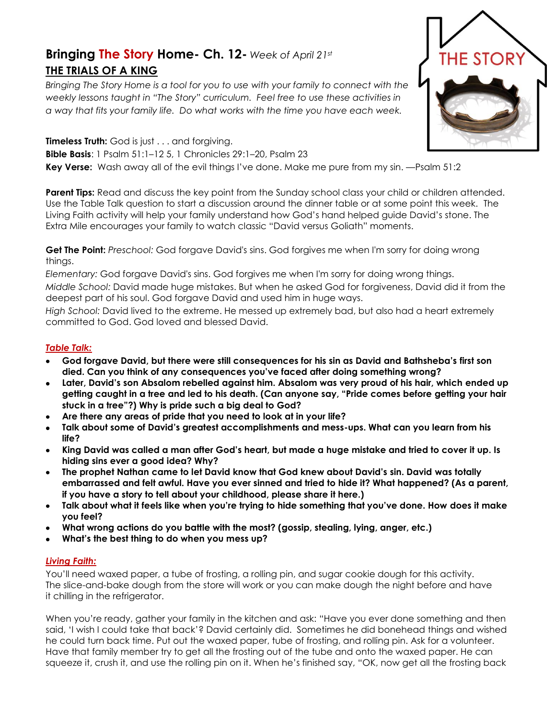## **Bringing The Story Home- Ch. 12-** *Week of April 21st* **THE TRIALS OF A KING**

*Bringing The Story Home is a tool for you to use with your family to connect with the weekly lessons taught in "The Story" curriculum. Feel free to use these activities in a way that fits your family life. Do what works with the time you have each week.* 



**Parent Tips:** Read and discuss the key point from the Sunday school class your child or children attended. Use the Table Talk question to start a discussion around the dinner table or at some point this week. The Living Faith activity will help your family understand how God's hand helped guide David's stone. The Extra Mile encourages your family to watch classic "David versus Goliath" moments.

**Get The Point:** *Preschool:* God forgave David's sins. God forgives me when I'm sorry for doing wrong things.

*Elementary:* God forgave David's sins. God forgives me when I'm sorry for doing wrong things. *Middle School:* David made huge mistakes. But when he asked God for forgiveness, David did it from the deepest part of his soul. God forgave David and used him in huge ways.

*High School:* David lived to the extreme. He messed up extremely bad, but also had a heart extremely committed to God. God loved and blessed David.

## *Table Talk:*

- **God forgave David, but there were still consequences for his sin as David and Bathsheba's first son died. Can you think of any consequences you've faced after doing something wrong?**
- **Later, David's son Absalom rebelled against him. Absalom was very proud of his hair, which ended up getting caught in a tree and led to his death. (Can anyone say, "Pride comes before getting your hair stuck in a tree"?) Why is pride such a big deal to God?**
- **Are there any areas of pride that you need to look at in your life?**
- **Talk about some of David's greatest accomplishments and mess-ups. What can you learn from his life?**
- **King David was called a man after God's heart, but made a huge mistake and tried to cover it up. Is hiding sins ever a good idea? Why?**
- **The prophet Nathan came to let David know that God knew about David's sin. David was totally embarrassed and felt awful. Have you ever sinned and tried to hide it? What happened? (As a parent, if you have a story to tell about your childhood, please share it here.)**
- **Talk about what it feels like when you're trying to hide something that you've done. How does it make you feel?**
- **What wrong actions do you battle with the most? (gossip, stealing, lying, anger, etc.)**
- **What's the best thing to do when you mess up?**

## *Living Faith:*

You'll need waxed paper, a tube of frosting, a rolling pin, and sugar cookie dough for this activity. The slice-and-bake dough from the store will work or you can make dough the night before and have it chilling in the refrigerator.

When you're ready, gather your family in the kitchen and ask: "Have you ever done something and then said, 'I wish I could take that back'? David certainly did. Sometimes he did bonehead things and wished he could turn back time. Put out the waxed paper, tube of frosting, and rolling pin. Ask for a volunteer. Have that family member try to get all the frosting out of the tube and onto the waxed paper. He can squeeze it, crush it, and use the rolling pin on it. When he's finished say, "OK, now get all the frosting back